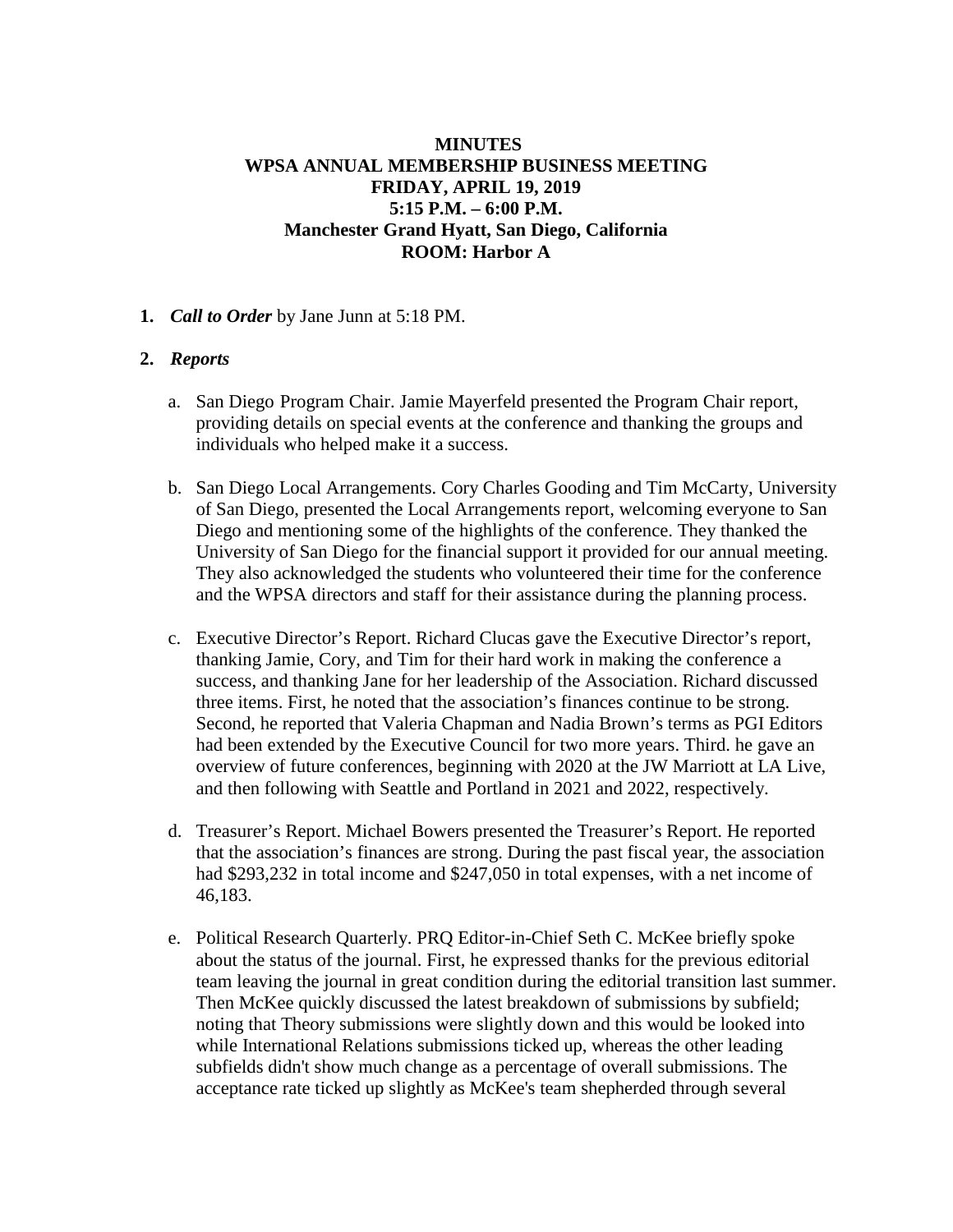# **MINUTES WPSA ANNUAL MEMBERSHIP BUSINESS MEETING FRIDAY, APRIL 19, 2019 5:15 P.M. – 6:00 P.M. Manchester Grand Hyatt, San Diego, California ROOM: Harbor A**

**1.** *Call to Order* by Jane Junn at 5:18 PM.

# **2.** *Reports*

- a. San Diego Program Chair. Jamie Mayerfeld presented the Program Chair report, providing details on special events at the conference and thanking the groups and individuals who helped make it a success.
- b. San Diego Local Arrangements. Cory Charles Gooding and Tim McCarty, University of San Diego, presented the Local Arrangements report, welcoming everyone to San Diego and mentioning some of the highlights of the conference. They thanked the University of San Diego for the financial support it provided for our annual meeting. They also acknowledged the students who volunteered their time for the conference and the WPSA directors and staff for their assistance during the planning process.
- c. Executive Director's Report. Richard Clucas gave the Executive Director's report, thanking Jamie, Cory, and Tim for their hard work in making the conference a success, and thanking Jane for her leadership of the Association. Richard discussed three items. First, he noted that the association's finances continue to be strong. Second, he reported that Valeria Chapman and Nadia Brown's terms as PGI Editors had been extended by the Executive Council for two more years. Third. he gave an overview of future conferences, beginning with 2020 at the JW Marriott at LA Live, and then following with Seattle and Portland in 2021 and 2022, respectively.
- d. Treasurer's Report. Michael Bowers presented the Treasurer's Report. He reported that the association's finances are strong. During the past fiscal year, the association had \$293,232 in total income and \$247,050 in total expenses, with a net income of 46,183.
- e. Political Research Quarterly. PRQ Editor-in-Chief Seth C. McKee briefly spoke about the status of the journal. First, he expressed thanks for the previous editorial team leaving the journal in great condition during the editorial transition last summer. Then McKee quickly discussed the latest breakdown of submissions by subfield; noting that Theory submissions were slightly down and this would be looked into while International Relations submissions ticked up, whereas the other leading subfields didn't show much change as a percentage of overall submissions. The acceptance rate ticked up slightly as McKee's team shepherded through several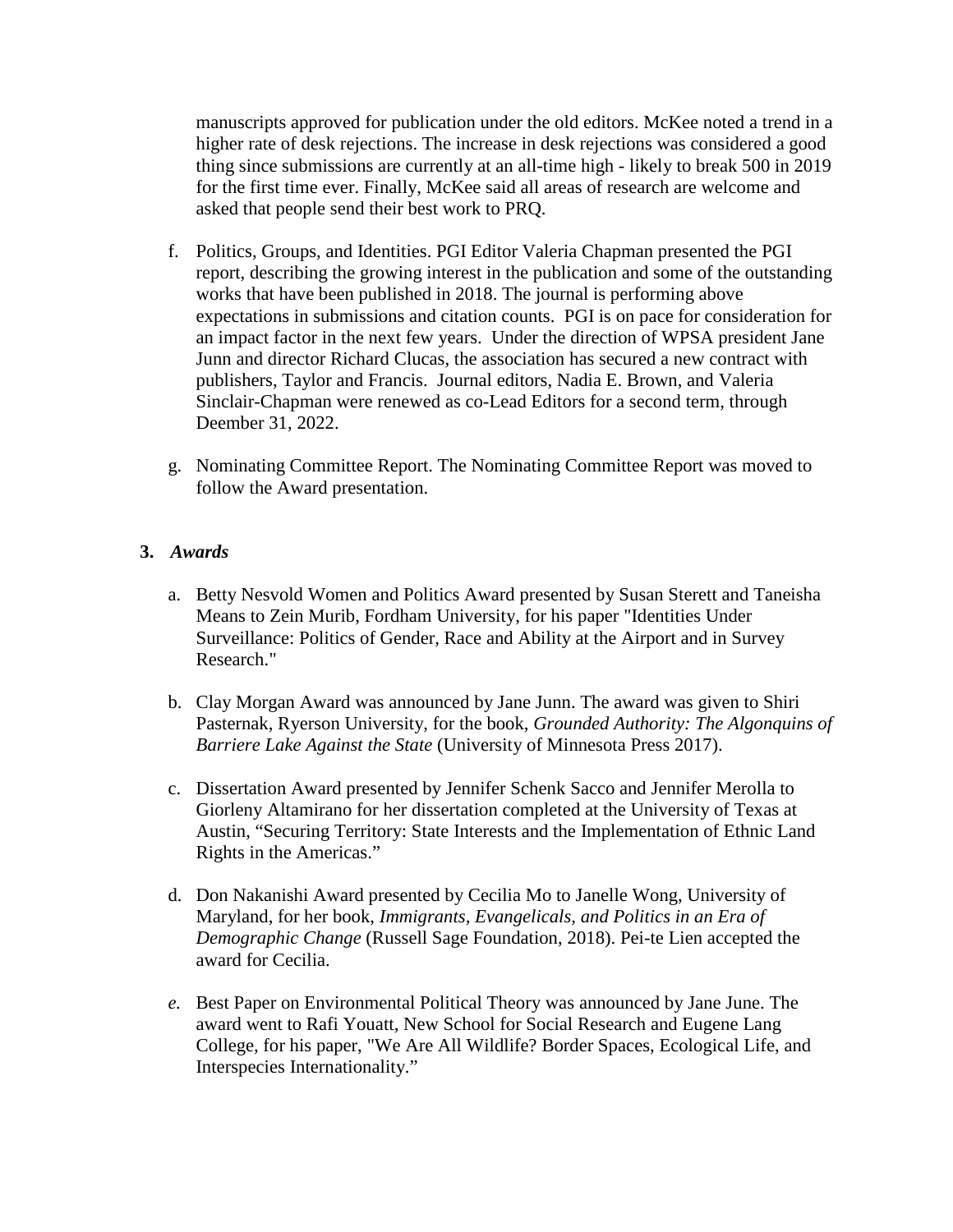manuscripts approved for publication under the old editors. McKee noted a trend in a higher rate of desk rejections. The increase in desk rejections was considered a good thing since submissions are currently at an all-time high - likely to break 500 in 2019 for the first time ever. Finally, McKee said all areas of research are welcome and asked that people send their best work to PRQ.

- f. Politics, Groups, and Identities. PGI Editor Valeria Chapman presented the PGI report, describing the growing interest in the publication and some of the outstanding works that have been published in 2018. The journal is performing above expectations in submissions and citation counts. PGI is on pace for consideration for an impact factor in the next few years. Under the direction of WPSA president Jane Junn and director Richard Clucas, the association has secured a new contract with publishers, Taylor and Francis. Journal editors, Nadia E. Brown, and Valeria Sinclair-Chapman were renewed as co-Lead Editors for a second term, through Deember 31, 2022.
- g. Nominating Committee Report. The Nominating Committee Report was moved to follow the Award presentation.

### **3.** *Awards*

- a. Betty Nesvold Women and Politics Award presented by Susan Sterett and Taneisha Means to Zein Murib, Fordham University, for his paper "Identities Under Surveillance: Politics of Gender, Race and Ability at the Airport and in Survey Research."
- b. Clay Morgan Award was announced by Jane Junn. The award was given to Shiri Pasternak, Ryerson University, for the book, *Grounded Authority: The Algonquins of Barriere Lake Against the State* (University of Minnesota Press 2017).
- c. Dissertation Award presented by Jennifer Schenk Sacco and Jennifer Merolla to Giorleny Altamirano for her dissertation completed at the University of Texas at Austin, "Securing Territory: State Interests and the Implementation of Ethnic Land Rights in the Americas."
- d. Don Nakanishi Award presented by Cecilia Mo to Janelle Wong, University of Maryland, for her book, *Immigrants, Evangelicals, and Politics in an Era of Demographic Change* (Russell Sage Foundation, 2018). Pei-te Lien accepted the award for Cecilia.
- *e.* Best Paper on Environmental Political Theory was announced by Jane June. The award went to Rafi Youatt, New School for Social Research and Eugene Lang College, for his paper, "We Are All Wildlife? Border Spaces, Ecological Life, and Interspecies Internationality."